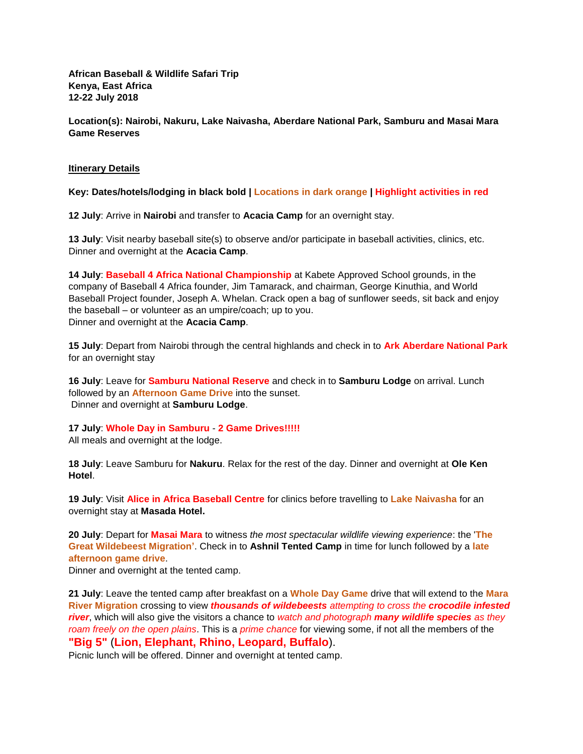**African Baseball & Wildlife Safari Trip Kenya, East Africa 12-22 July 2018**

**Location(s): Nairobi, Nakuru, Lake Naivasha, Aberdare National Park, Samburu and Masai Mara Game Reserves**

#### **Itinerary Details**

**Key: Dates/hotels/lodging in black bold | Locations in dark orange | Highlight activities in red**

**12 July**: Arrive in **Nairobi** and transfer to **Acacia Camp** for an overnight stay.

**13 July**: Visit nearby baseball site(s) to observe and/or participate in baseball activities, clinics, etc. Dinner and overnight at the **Acacia Camp**.

**14 July**: **Baseball 4 Africa National Championship** at Kabete Approved School grounds, in the company of Baseball 4 Africa founder, Jim Tamarack, and chairman, George Kinuthia, and World Baseball Project founder, Joseph A. Whelan. Crack open a bag of sunflower seeds, sit back and enjoy the baseball – or volunteer as an umpire/coach; up to you. Dinner and overnight at the **Acacia Camp**.

**15 July**: Depart from Nairobi through the central highlands and check in to **Ark Aberdare National Park** for an overnight stay

**16 July**: Leave for **Samburu National Reserve** and check in to **Samburu Lodge** on arrival. Lunch followed by an **Afternoon Game Drive** into the sunset. Dinner and overnight at **Samburu Lodge**.

**17 July**: **Whole Day in Samburu** - **2 Game Drives!!!!!**

All meals and overnight at the lodge.

**18 July**: Leave Samburu for **Nakuru**. Relax for the rest of the day. Dinner and overnight at **Ole Ken Hotel**.

**19 July**: Visit **Alice in Africa Baseball Centre** for clinics before travelling to **Lake Naivasha** for an overnight stay at **Masada Hotel.**

**20 July**: Depart for **Masai Mara** to witness *the most spectacular wildlife viewing experience*: the '**The Great Wildebeest Migration'**. Check in to **Ashnil Tented Camp** in time for lunch followed by a **late afternoon game drive**.

Dinner and overnight at the tented camp.

**21 July**: Leave the tented camp after breakfast on a **Whole Day Game** drive that will extend to the **Mara River Migration** crossing to view *thousands of wildebeests attempting to cross the crocodile infested river*, which will also give the visitors a chance to *watch and photograph many wildlife species as they roam freely on the open plains*. This is a *prime chance* for viewing some, if not all the members of the **"Big 5"** (**Lion, Elephant, Rhino, Leopard, Buffalo**).

Picnic lunch will be offered. Dinner and overnight at tented camp.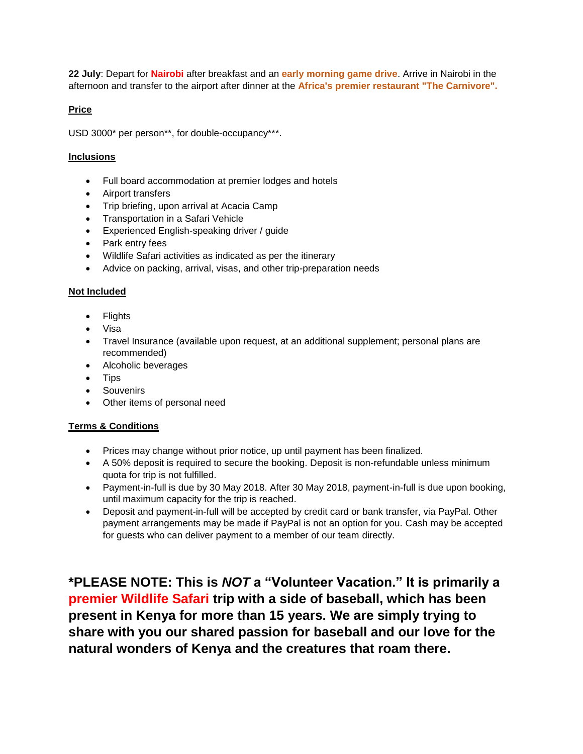**22 July**: Depart for **Nairobi** after breakfast and an **early morning game drive**. Arrive in Nairobi in the afternoon and transfer to the airport after dinner at the **Africa's premier restaurant "The Carnivore".**

# **Price**

USD 3000\* per person\*\*, for double-occupancy\*\*\*.

# **Inclusions**

- Full board accommodation at premier lodges and hotels
- Airport transfers
- Trip briefing, upon arrival at Acacia Camp
- Transportation in a Safari Vehicle
- Experienced English-speaking driver / guide
- Park entry fees
- Wildlife Safari activities as indicated as per the itinerary
- Advice on packing, arrival, visas, and other trip-preparation needs

### **Not Included**

- Flights
- Visa
- Travel Insurance (available upon request, at an additional supplement; personal plans are recommended)
- Alcoholic beverages
- Tips
- Souvenirs
- Other items of personal need

# **Terms & Conditions**

- Prices may change without prior notice, up until payment has been finalized.
- A 50% deposit is required to secure the booking. Deposit is non-refundable unless minimum quota for trip is not fulfilled.
- Payment-in-full is due by 30 May 2018. After 30 May 2018, payment-in-full is due upon booking, until maximum capacity for the trip is reached.
- Deposit and payment-in-full will be accepted by credit card or bank transfer, via PayPal. Other payment arrangements may be made if PayPal is not an option for you. Cash may be accepted for guests who can deliver payment to a member of our team directly.

**\*PLEASE NOTE: This is** *NOT* **a "Volunteer Vacation." It is primarily a premier Wildlife Safari trip with a side of baseball, which has been present in Kenya for more than 15 years. We are simply trying to share with you our shared passion for baseball and our love for the natural wonders of Kenya and the creatures that roam there.**